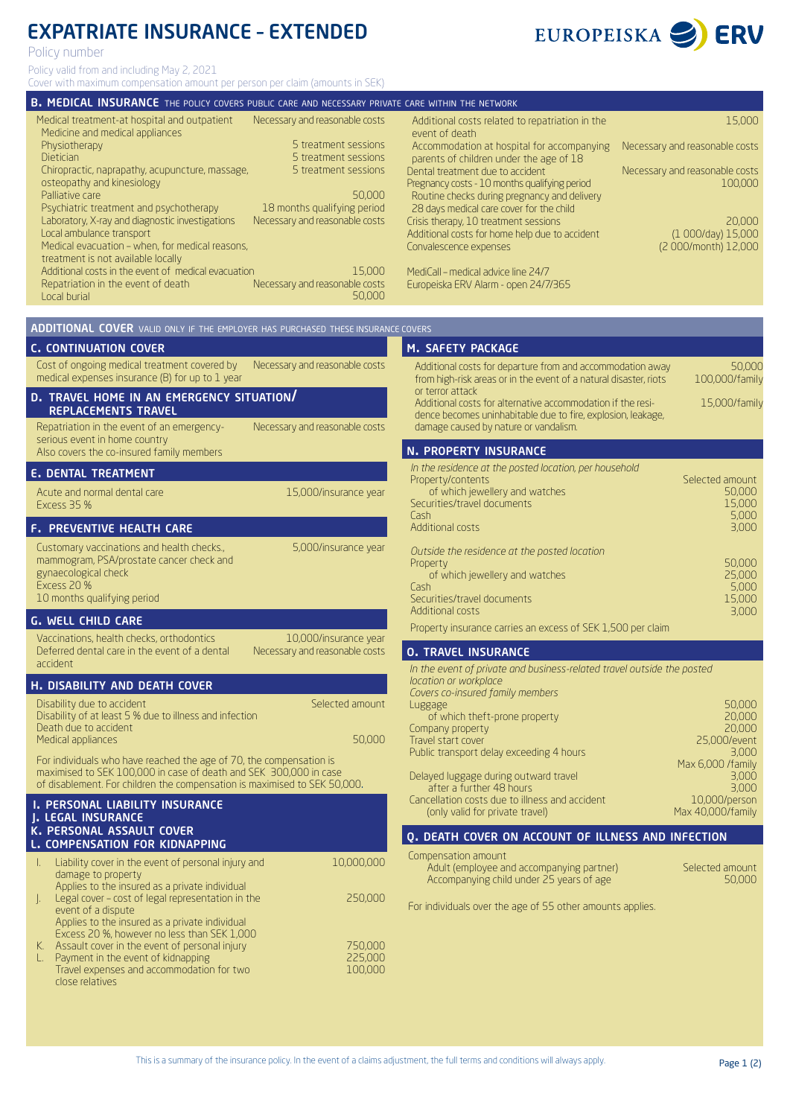# EXPATRIATE INSURANCE – EXTENDED

Policy number

Policy valid from and including May 2, 2021 Cover with maximum compensation amount per person per claim (amounts in SEK)

Medical treatment-at hospital and outpatient Medicine and medical appliances Physiotherapy Dietician Chiropractic, naprapathy, acupuncture, massage, osteopathy and kinesiology Palliative care Psychiatric treatment and psychotherapy Laboratory, X-ray and diagnostic investigations Local ambulance transport Medical evacuation – when, for medical reasons, treatment is not available locally Additional costs in the event of medical evacuation Repatriation in the event of death Local burial Additional costs related to repatriation in the event of death Accommodation at hospital for accompanying parents of children under the age of 18 Dental treatment due to accident Pregnancy costs - 10 months qualifying period Routine checks during pregnancy and delivery 28 days medical care cover for the child Crisis therapy, 10 treatment sessions Additional costs for home help due to accident Convalescence expenses MediCall – medical advice line 24/7 Europeiska ERV Alarm - open 24/7/365 Necessary and reasonable costs 5 treatment sessions 5 treatment sessions 5 treatment sessions 50,000 18 months qualifying period Necessary and reasonable costs 15,000 Necessary and reasonable costs 50,000 Cost of ongoing medical treatment covered by medical expenses insurance (B) for up to 1 year Necessary and reasonable costs Repatriation in the event of an emergencyserious event in home country Also covers the co-insured family members Necessary and reasonable costs Vaccinations, health checks, orthodontics Deferred dental care in the event of a dental accident 10,000/insurance year Necessary and reasonable costs Disability due to accident Disability of at least 5 % due to illness and infection Death due to accident Medical appliances Selected amount 50,000 Liability cover in the event of personal injury and damage to property Applies to the insured as a private individual J. Legal cover – cost of legal representation in the event of a dispute Applies to the insured as a private individual Excess 20 %, however no less than SEK 1,000 K. Assault cover in the event of personal injury L. Payment in the event of kidnapping Travel expenses and accommodation for two close relatives 10,000,000 250,000 750,000 225,000 100,000 Additional costs for departure from and accommodation away from high-risk areas or in the event of a natural disaster, riots or terror attack Additional costs for alternative accommodation if the residence becomes uninhabitable due to fire, explosion, leakage, damage caused by nature or vandalism. 50,000 100,000/family 15,000/family *In the residence at the posted location, per household* Property/contents of which jewellery and watches Securities/travel documents Cash Additional costs *Outside the residence at the posted location* Property of which jewellery and watches Cash Securities/travel documents Additional costs Selected amount 50,000 15,000 5,000 3,000 50,000 25,000 5,000 15,000 3,000 Luggage of which theft-prone property Company property Travel start cover Public transport delay exceeding 4 hours Delayed luggage during outward travel after a further 48 hours Cancellation costs due to illness and accident (only valid for private travel) 50,000 20,000 20,000 25,000/event 3,000 Max 6,000 /family 3,000 3,000 10,000/person Max 40,000/family 15,000 Necessary and reasonable costs Necessary and reasonable costs 100,000 20,000 (1 000/day) 15,000 (2 000/month) 12,000 B. MEDICAL INSURANCE THE POLICY COVERS PUBLIC CARE AND NECESSARY PRIVATE CARE WITHIN THE NETWORK ADDITIONAL COVER VALID ONLY IF THE EMPLOYER HAS PURCHASED THESE INSURANCE COVERS c. continuation cover n. property insurance d. travel home in an emergency situation/ replacements travel e. dental treatment f. preventive health care g. well child care For individuals who have reached the age of 70, the compensation is maximised to SEK 100,000 in case of death and SEK 300,000 in case of disablement. For children the compensation is maximised to SEK 50,000. Property insurance carries an excess of SEK 1,500 per claim *In the event of private and business-related travel outside the posted location or workplace* **H. DISABILITY AND DEATH COVER**<br>Covers co-insured family members i. personal liability insurance j. legal insurance k. personal assault cover **COMPENSATION FOR KIDNAPPING** M. SAFETY PACKAGE O. DEATH COVER ON ACCOUNT OF ILLNESS AND INFECTION o. travel insurance Acute and normal dental care Excess 35 % 15,000/insurance year Customary vaccinations and health checks., mammogram, PSA/prostate cancer check and gynaecological check Excess 20 % 10 months qualifying period 5,000/insurance year Compensation amount Adult (employee and accompanying partner) Accompanying child under 25 years of age Selected amount 50,000 For individuals over the age of 55 other amounts applies.